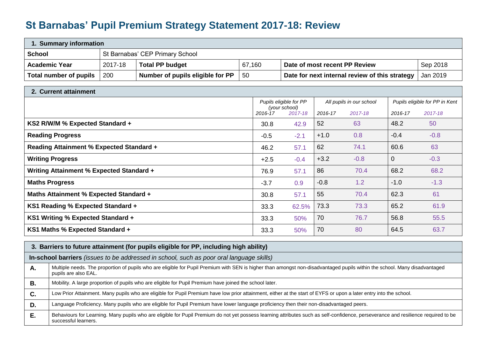## **St Barnabas' Pupil Premium Strategy Statement 2017-18: Review**

| 1. Summary information                                                               |         |                                                                                       |        |             |        |                                                |                |          |
|--------------------------------------------------------------------------------------|---------|---------------------------------------------------------------------------------------|--------|-------------|--------|------------------------------------------------|----------------|----------|
| <b>School</b>                                                                        |         | St Barnabas' CEP Primary School                                                       |        |             |        |                                                |                |          |
| <b>Academic Year</b>                                                                 | 2017-18 | <b>Total PP budget</b>                                                                | 67,160 |             |        | Date of most recent PP Review                  |                | Sep 2018 |
| <b>Total number of pupils</b>                                                        | 200     | Number of pupils eligible for PP                                                      | 50     |             |        | Date for next internal review of this strategy |                | Jan 2019 |
| 2. Current attainment                                                                |         |                                                                                       |        |             |        |                                                |                |          |
| Pupils eligible for PP<br>Pupils eligible for PP in Kent<br>All pupils in our school |         |                                                                                       |        |             |        |                                                |                |          |
| (your school)<br>2016-17<br>2017-18<br>2016-17<br>2017-18<br>2016-17<br>2017-18      |         |                                                                                       |        |             |        |                                                |                |          |
| KS2 R/W/M % Expected Standard +                                                      |         |                                                                                       | 30.8   | 42.9        | 52     | 63                                             | 48.2           | 50       |
| <b>Reading Progress</b>                                                              |         |                                                                                       | $-0.5$ | $-2.1$      | $+1.0$ | 0.8                                            | $-0.4$         | $-0.8$   |
| <b>Reading Attainment % Expected Standard +</b>                                      |         |                                                                                       | 46.2   | 57.1        | 62     | 74.1                                           | 60.6           | 63       |
| <b>Writing Progress</b>                                                              |         |                                                                                       | $+2.5$ | $-0.4$      | $+3.2$ | $-0.8$                                         | $\overline{0}$ | $-0.3$   |
| Writing Attainment % Expected Standard +                                             |         |                                                                                       | 76.9   | 57.1        | 86     | 70.4                                           | 68.2           | 68.2     |
| <b>Maths Progress</b>                                                                |         |                                                                                       | $-3.7$ | 0.9         | $-0.8$ | 1.2                                            | $-1.0$         | $-1.3$   |
| <b>Maths Attainment % Expected Standard +</b>                                        |         |                                                                                       | 30.8   | 57.1        | 55     | 70.4                                           | 62.3           | 61       |
| KS1 Reading % Expected Standard +                                                    |         |                                                                                       | 33.3   | 62.5%       | 73.3   | 73.3                                           | 65.2           | 61.9     |
| KS1 Writing % Expected Standard +                                                    |         |                                                                                       | 33.3   | 50%         | 70     | 76.7                                           | 56.8           | 55.5     |
| KS1 Maths % Expected Standard +                                                      |         |                                                                                       |        | 33.3<br>50% | 70     | 80                                             | 64.5           | 63.7     |
|                                                                                      |         | 3. Barriers to future attainment (for pupils eligible for PP, including high ability) |        |             |        |                                                |                |          |

|  | In-school barriers (issues to be addressed in school, such as poor oral language skills) |  |  |
|--|------------------------------------------------------------------------------------------|--|--|
|--|------------------------------------------------------------------------------------------|--|--|

| А. | Multiple needs. The proportion of pupils who are eligible for Pupil Premium with SEN is higher than amongst non-disadvantaged pupils within the school. Many disadvantaged<br>pupils are also EAL.         |
|----|------------------------------------------------------------------------------------------------------------------------------------------------------------------------------------------------------------|
| В. | Mobility. A large proportion of pupils who are eligible for Pupil Premium have joined the school later.                                                                                                    |
| C. | Low Prior Attainment. Many pupils who are eligible for Pupil Premium have low prior attainment, either at the start of EYFS or upon a later entry into the school.                                         |
| D. | Language Proficiency. Many pupils who are eligible for Pupil Premium have lower language proficiency then their non-disadvantaged peers.                                                                   |
| Е. | Behaviours for Learning. Many pupils who are eligible for Pupil Premium do not yet possess learning attributes such as self-confidence, perseverance and resilience required to be<br>successful learners. |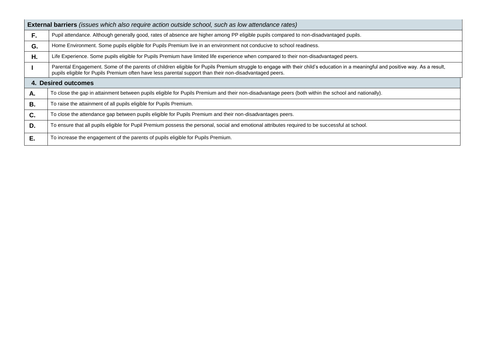|           | <b>External barriers</b> (issues which also require action outside school, such as low attendance rates)                                                                                                                                                                                   |
|-----------|--------------------------------------------------------------------------------------------------------------------------------------------------------------------------------------------------------------------------------------------------------------------------------------------|
| F.        | Pupil attendance. Although generally good, rates of absence are higher among PP eligible pupils compared to non-disadvantaged pupils.                                                                                                                                                      |
| G.        | Home Environment. Some pupils eligible for Pupils Premium live in an environment not conducive to school readiness.                                                                                                                                                                        |
| Η.        | Life Experience. Some pupils eligible for Pupils Premium have limited life experience when compared to their non-disadvantaged peers.                                                                                                                                                      |
|           | Parental Engagement. Some of the parents of children eligible for Pupils Premium struggle to engage with their child's education in a meaningful and positive way. As a result,<br>pupils eligible for Pupils Premium often have less parental support than their non-disadvantaged peers. |
|           | 4. Desired outcomes                                                                                                                                                                                                                                                                        |
| Α.        | To close the gap in attainment between pupils eligible for Pupils Premium and their non-disadvantage peers (both within the school and nationally).                                                                                                                                        |
| <b>B.</b> | To raise the attainment of all pupils eligible for Pupils Premium.                                                                                                                                                                                                                         |
| C.        | To close the attendance gap between pupils eligible for Pupils Premium and their non-disadvantages peers.                                                                                                                                                                                  |
| D.        | To ensure that all pupils eligible for Pupil Premium possess the personal, social and emotional attributes required to be successful at school.                                                                                                                                            |
| Е.        | To increase the engagement of the parents of pupils eligible for Pupils Premium.                                                                                                                                                                                                           |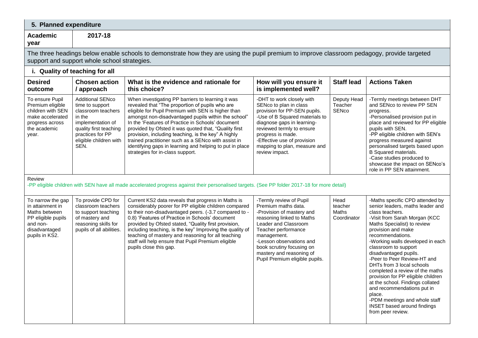| 5. Planned expenditure                                                                                                      |                                                                                                                                                                                 |                                                                                                                                                                                                                                                                                                                                                                                                                                                                                                                                               |                                                                                                                                                                                                                                                                                               |                                                |                                                                                                                                                                                                                                                                                                                                                                                                                                                                                                                                                                                                    |
|-----------------------------------------------------------------------------------------------------------------------------|---------------------------------------------------------------------------------------------------------------------------------------------------------------------------------|-----------------------------------------------------------------------------------------------------------------------------------------------------------------------------------------------------------------------------------------------------------------------------------------------------------------------------------------------------------------------------------------------------------------------------------------------------------------------------------------------------------------------------------------------|-----------------------------------------------------------------------------------------------------------------------------------------------------------------------------------------------------------------------------------------------------------------------------------------------|------------------------------------------------|----------------------------------------------------------------------------------------------------------------------------------------------------------------------------------------------------------------------------------------------------------------------------------------------------------------------------------------------------------------------------------------------------------------------------------------------------------------------------------------------------------------------------------------------------------------------------------------------------|
| <b>Academic</b><br>year                                                                                                     | 2017-18                                                                                                                                                                         |                                                                                                                                                                                                                                                                                                                                                                                                                                                                                                                                               |                                                                                                                                                                                                                                                                                               |                                                |                                                                                                                                                                                                                                                                                                                                                                                                                                                                                                                                                                                                    |
|                                                                                                                             | support and support whole school strategies.                                                                                                                                    | The three headings below enable schools to demonstrate how they are using the pupil premium to improve classroom pedagogy, provide targeted                                                                                                                                                                                                                                                                                                                                                                                                   |                                                                                                                                                                                                                                                                                               |                                                |                                                                                                                                                                                                                                                                                                                                                                                                                                                                                                                                                                                                    |
|                                                                                                                             | i. Quality of teaching for all                                                                                                                                                  |                                                                                                                                                                                                                                                                                                                                                                                                                                                                                                                                               |                                                                                                                                                                                                                                                                                               |                                                |                                                                                                                                                                                                                                                                                                                                                                                                                                                                                                                                                                                                    |
| <b>Desired</b><br>outcome                                                                                                   | <b>Chosen action</b><br>/ approach                                                                                                                                              | What is the evidence and rationale for<br>this choice?                                                                                                                                                                                                                                                                                                                                                                                                                                                                                        | How will you ensure it<br>is implemented well?                                                                                                                                                                                                                                                | <b>Staff lead</b>                              | <b>Actions Taken</b>                                                                                                                                                                                                                                                                                                                                                                                                                                                                                                                                                                               |
| To ensure Pupil<br>Premium eligible<br>children with SEN<br>make accelerated<br>progress across<br>the academic<br>year.    | <b>Additional SENco</b><br>time to support<br>classroom teachers<br>in the<br>implementation of<br>quality first teaching<br>practices for PP<br>eligible children with<br>SEN. | When investigating PP barriers to learning it was<br>revealed that "The proportion of pupils who are<br>eligible for Pupil Premium with SEN is higher than<br>amongst non-disadvantaged pupils within the school"<br>In the 'Features of Practice in Schools' document<br>provided by Ofsted it was quoted that, "Quality first<br>provision, including teaching, is the key" A highly<br>trained practitioner such as a SENco with assist in<br>identifying gaps in learning and helping to put in place<br>strategies for in-class support. | -DHT to work closely with<br>SENco to plan in class<br>provision for PP-SEN pupils.<br>-Use of B Squared materials to<br>diagnose gaps in learning-<br>reviewed termly to ensure<br>progress is made.<br>-Effective use of provision<br>mapping to plan, measure and<br>review impact.        | Deputy Head<br>Teacher<br>SENco                | -Termly meetings between DHT<br>and SENco to review PP SEN<br>progress.<br>-Personalised provision put in<br>place and reviewed for PP eligible<br>pupils with SEN.<br>-PP eligible children with SEN's<br>progress measured against<br>personalised targets based upon<br><b>B</b> Squared materials.<br>-Case studies produced to<br>showcase the impact on SENco's<br>role in PP SEN attainment.                                                                                                                                                                                                |
| Review                                                                                                                      |                                                                                                                                                                                 | -PP eligible children with SEN have all made accelerated progress against their personalised targets. (See PP folder 2017-18 for more detail)                                                                                                                                                                                                                                                                                                                                                                                                 |                                                                                                                                                                                                                                                                                               |                                                |                                                                                                                                                                                                                                                                                                                                                                                                                                                                                                                                                                                                    |
| To narrow the gap<br>in attainment in<br>Maths between<br>PP eligible pupils<br>and non-<br>disadvantaged<br>pupils in KS2. | To provide CPD for<br>classroom teachers<br>to support teaching<br>of mastery and<br>reasoning skills for<br>pupils of all abilities.                                           | Current KS2 data reveals that progress in Maths is<br>considerably poorer for PP eligible children compared<br>to their non-disadvantaged peers. (-3.7 compared to -<br>0.8) 'Features of Practice in Schools' document<br>provided by Ofsted stated, "Quality first provision,<br>including teaching, is the key" Improving the quality of<br>teaching of mastery and reasoning for all teaching<br>staff will help ensure that Pupil Premium eligible<br>pupils close this gap.                                                             | -Termly review of Pupil<br>Premium maths data.<br>-Provision of mastery and<br>reasoning linked to Maths<br>Leader and Classroom<br>Teacher performance<br>management.<br>-Lesson observations and<br>book scrutiny focusing on<br>mastery and reasoning of<br>Pupil Premium eligible pupils. | Head<br>teacher<br><b>Maths</b><br>Coordinator | -Maths specific CPD attended by<br>senior leaders, maths leader and<br>class teachers.<br>-Visit from Sarah Morgan (KCC<br>Maths Specialist) to review<br>provision and make<br>recommendations.<br>-Working walls developed in each<br>classroom to support<br>disadvantaged pupils.<br>-Peer to Peer Review-HT and<br>DHTs from 3 local schools<br>completed a review of the maths<br>provision for PP eligible children<br>at the school. Findings collated<br>and recommendations put in<br>place.<br>-PDM meetings and whole staff<br><b>INSET</b> based around findings<br>from peer review. |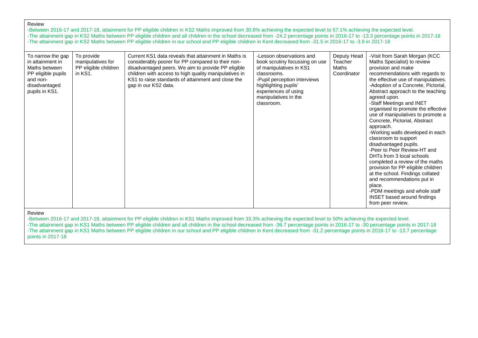-Between 2016-17 and 2017-18, attainment for PP eligible children in KS2 Maths improved from 30.8% achieving the expected level to 57.1% achieving the expected level. -The attainment gap in KS2 Maths between PP eligible children and all children in the school decreased from -24.2 percentage points in 2016-17 to -13.3 percentage points in 2017-18 -The attainment gap in KS2 Maths between PP eligible children in our school and PP eligible children in Kent decreased from -31.5 in 2016-17 to -3.9 in 2017-18

| To narrow the gap<br>in attainment in<br>Maths between<br>PP eligible pupils<br>and non-<br>disadvantaged<br>pupils in KS1. | To provide<br>manipulatives for<br>PP eligible children<br>in KS1. | Current KS1 data reveals that attainment in Maths is<br>considerably poorer for PP compared to their non-<br>disadvantaged peers. We aim to provide PP eligible<br>children with access to high quality manipulatives in<br>KS1 to raise standards of attainment and close the<br>gap in our KS2 data. | -Lesson observations and<br>book scrutiny focussing on use<br>of manipulatives in KS1<br>classrooms.<br>-Pupil perception interviews<br>highlighting pupils'<br>experiences of using<br>manipulatives in the<br>classroom. | Deputy Head<br>Teacher<br>Maths<br>Coordinator | -Visit from Sarah Morgan (KCC<br>Maths Specialist) to review<br>provision and make<br>recommendations with regards to<br>the effective use of manipulatives.<br>-Adoption of a Concrete, Pictorial,<br>Abstract approach to the teaching<br>agreed upon.<br>-Staff Meetings and INET<br>organised to promote the effective<br>use of manipulatives to promote a<br>Concrete, Pictorial, Abstract<br>approach.<br>-Working walls developed in each<br>classroom to support<br>disadvantaged pupils.<br>-Peer to Peer Review-HT and<br>DHTs from 3 local schools<br>completed a review of the maths<br>provision for PP eligible children<br>at the school. Findings collated<br>and recommendations put in<br>place.<br>-PDM meetings and whole staff<br><b>INSET</b> based around findings<br>from peer review. |
|-----------------------------------------------------------------------------------------------------------------------------|--------------------------------------------------------------------|--------------------------------------------------------------------------------------------------------------------------------------------------------------------------------------------------------------------------------------------------------------------------------------------------------|----------------------------------------------------------------------------------------------------------------------------------------------------------------------------------------------------------------------------|------------------------------------------------|-----------------------------------------------------------------------------------------------------------------------------------------------------------------------------------------------------------------------------------------------------------------------------------------------------------------------------------------------------------------------------------------------------------------------------------------------------------------------------------------------------------------------------------------------------------------------------------------------------------------------------------------------------------------------------------------------------------------------------------------------------------------------------------------------------------------|
|-----------------------------------------------------------------------------------------------------------------------------|--------------------------------------------------------------------|--------------------------------------------------------------------------------------------------------------------------------------------------------------------------------------------------------------------------------------------------------------------------------------------------------|----------------------------------------------------------------------------------------------------------------------------------------------------------------------------------------------------------------------------|------------------------------------------------|-----------------------------------------------------------------------------------------------------------------------------------------------------------------------------------------------------------------------------------------------------------------------------------------------------------------------------------------------------------------------------------------------------------------------------------------------------------------------------------------------------------------------------------------------------------------------------------------------------------------------------------------------------------------------------------------------------------------------------------------------------------------------------------------------------------------|

## Review

-Between 2016-17 and 2017-18, attainment for PP eligible children in KS1 Maths improved from 33.3% achieving the expected level to 50% achieving the expected level. -The attainment gap in KS1 Maths between PP eligible children and all children in the school decreased from -36.7 percentage points in 2016-17 to -30 percentage points in 2017-18 -The attainment gap in KS1 Maths between PP eligible children in our school and PP eligible children in Kent decreased from -31.2 percentage points in 2016-17 to -13.7 percentage points in 2017-18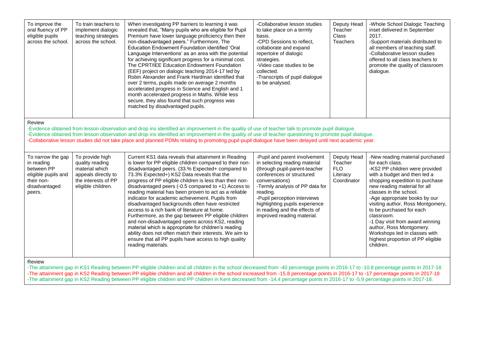| To improve the<br>oral fluency of PP<br>eligible pupils<br>across the school.                                                                                                                                                                                                                                                                                                                                                                                                         | To train teachers to<br>implement dialogic<br>teaching strategies<br>across the school.                                  | When investigating PP barriers to learning it was<br>revealed that, "Many pupils who are eligible for Pupil<br>Premium have lower language proficiency then their<br>non-disadvantaged peers." Furthermore, The<br>Education Endowment Foundation identified 'Oral<br>Language Interventions' as an area with the potential<br>for achieving significant progress for a minimal cost.<br>The CPRT/IEE Education Endowment Foundation<br>(EEF) project on dialogic teaching 2014-17 led by<br>Robin Alexander and Frank Hardman identified that<br>over 2 terms, pupils made on average 2 months<br>accelerated progress in Science and English and 1<br>month accelerated progress in Maths. While less<br>secure, they also found that such progress was<br>matched by disadvantaged pupils.                                                                       | -Collaborative lesson studies<br>to take place on a termly<br>basis.<br>-CPD Sessions to reflect,<br>collaborate and expand<br>repertoire of dialogic<br>strategies.<br>-Video case studies to be<br>collected.<br>-Transcripts of pupil dialogue<br>to be analysed.                                                           | Deputy Head<br>Teacher<br><b>Class</b><br>Teachers              | -Whole School Dialogic Teaching<br>inset delivered in September<br>2017.<br>-Support materials distributed to<br>all members of teaching staff.<br>-Collaborative lesson studies<br>offered to all class teachers to<br>promote the quality of classroom<br>dialogue.                                                                                                                                                                                                               |
|---------------------------------------------------------------------------------------------------------------------------------------------------------------------------------------------------------------------------------------------------------------------------------------------------------------------------------------------------------------------------------------------------------------------------------------------------------------------------------------|--------------------------------------------------------------------------------------------------------------------------|---------------------------------------------------------------------------------------------------------------------------------------------------------------------------------------------------------------------------------------------------------------------------------------------------------------------------------------------------------------------------------------------------------------------------------------------------------------------------------------------------------------------------------------------------------------------------------------------------------------------------------------------------------------------------------------------------------------------------------------------------------------------------------------------------------------------------------------------------------------------|--------------------------------------------------------------------------------------------------------------------------------------------------------------------------------------------------------------------------------------------------------------------------------------------------------------------------------|-----------------------------------------------------------------|-------------------------------------------------------------------------------------------------------------------------------------------------------------------------------------------------------------------------------------------------------------------------------------------------------------------------------------------------------------------------------------------------------------------------------------------------------------------------------------|
| Review<br>-Evidence obtained from lesson observation and drop ins identified an improvement in the quality of use of teacher talk to promote pupil dialogue.<br>-Evidence obtained from lesson observation and drop ins identified an improvement in the quality of use of teacher questioning to promote pupil dialogue.<br>-Collaborative lesson studies did not take place and planned PDMs relating to promoting pupil-pupil dialogue have been delayed until next academic year. |                                                                                                                          |                                                                                                                                                                                                                                                                                                                                                                                                                                                                                                                                                                                                                                                                                                                                                                                                                                                                     |                                                                                                                                                                                                                                                                                                                                |                                                                 |                                                                                                                                                                                                                                                                                                                                                                                                                                                                                     |
| To narrow the gap<br>in reading<br>between PP<br>eligible pupils and<br>their non-<br>disadvantaged<br>peers.<br>Review                                                                                                                                                                                                                                                                                                                                                               | To provide high<br>quality reading<br>material which<br>appeals directly to<br>the interests of PP<br>eligible children. | Current KS1 data reveals that attainment in Reading<br>is lower for PP eligible children compared to their non-<br>disadvantaged peers. (33.% Expected+ compared to<br>73.3% Expected+) KS2 Data reveals that the<br>progress of PP eligible children is less than their non-<br>disadvantaged peers (-0.5 compared to $+1$ ) Access to<br>reading material has been proven to act as a reliable<br>indicator for academic achievement. Pupils from<br>disadvantaged backgrounds often have restricted<br>access to a rich bank of literature at home.<br>Furthermore, as the gap between PP eligible children<br>and non-disadvantaged opens across KS2, reading<br>material which is appropriate for children's reading<br>ability does not often match their interests. We aim to<br>ensure that all PP pupils have access to high quality<br>reading materials. | -Pupil and parent involvement<br>in selecting reading material<br>(through pupil-parent-teacher<br>conferences or structured<br>conversations)<br>-Termly analysis of PP data for<br>reading.<br>-Pupil perception interviews<br>highlighting pupils experience<br>in reading and the effects of<br>improved reading material. | Deputy Head<br>Teacher<br><b>FLO</b><br>Literacy<br>Coordinator | -New reading material purchased<br>for each class.<br>-KS2 PP children were provided<br>with a budget and then led a<br>shopping expedition to purchase<br>new reading material for all<br>classes in the school.<br>-Age appropriate books by our<br>visiting author, Ross Montgomery,<br>to be purchased for each<br>classroom.<br>-1 Day visit from award winning<br>author, Ross Montgomery.<br>Workshops led in classes with<br>highest proportion of PP eligible<br>children. |

-The attainment gap in KS1 Reading between PP eligible children and all children in the school decreased from -40 percentage points in 2016-17 to -10.8 percentage points in 2017-18. -The attainment gap in KS2 Reading between PP eligible children and all children in the school increased from -15.8 percentage points in 2016-17 to -17 percentage points in 2017-18 -The attainment gap in KS2 Reading between PP eligible children and PP children in Kent decreased from -14.4 percentage points in 2016-17 to -5.9 percentage points in 2017-18.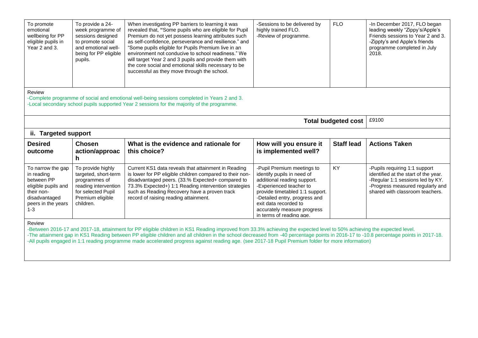| To promote<br>emotional<br>wellbeing for PP<br>eligible pupils in<br>Year 2 and 3.                                                   | To provide a 24-<br>week programme of<br>sessions designed<br>to promote social<br>and emotional well-<br>being for PP eligible<br>pupils.                                                 | When investigating PP barriers to learning it was<br>revealed that, "Some pupils who are eligible for Pupil<br>Premium do not yet possess learning attributes such<br>as self-confidence, perseverance and resilience." and<br>"Some pupils eligible for Pupils Premium live in an<br>environment not conducive to school readiness." We<br>will target Year 2 and 3 pupils and provide them with<br>the core social and emotional skills necessary to be<br>successful as they move through the school. | -Sessions to be delivered by<br>highly trained FLO.<br>-Review of programme.                                                                                                                                                                   | <b>FLO</b>                 | -In December 2017, FLO began<br>leading weekly "Zippy's/Apple's<br>Friends sessions to Year 2 and 3.<br>-Zippty's and Apple's friends<br>programme completed in July<br>2018.    |  |
|--------------------------------------------------------------------------------------------------------------------------------------|--------------------------------------------------------------------------------------------------------------------------------------------------------------------------------------------|----------------------------------------------------------------------------------------------------------------------------------------------------------------------------------------------------------------------------------------------------------------------------------------------------------------------------------------------------------------------------------------------------------------------------------------------------------------------------------------------------------|------------------------------------------------------------------------------------------------------------------------------------------------------------------------------------------------------------------------------------------------|----------------------------|----------------------------------------------------------------------------------------------------------------------------------------------------------------------------------|--|
| Review                                                                                                                               | -Complete programme of social and emotional well-being sessions completed in Years 2 and 3.<br>-Local secondary school pupils supported Year 2 sessions for the majority of the programme. |                                                                                                                                                                                                                                                                                                                                                                                                                                                                                                          |                                                                                                                                                                                                                                                |                            |                                                                                                                                                                                  |  |
|                                                                                                                                      |                                                                                                                                                                                            |                                                                                                                                                                                                                                                                                                                                                                                                                                                                                                          |                                                                                                                                                                                                                                                |                            |                                                                                                                                                                                  |  |
|                                                                                                                                      |                                                                                                                                                                                            |                                                                                                                                                                                                                                                                                                                                                                                                                                                                                                          |                                                                                                                                                                                                                                                | <b>Total budgeted cost</b> | £9100                                                                                                                                                                            |  |
| ii. Targeted support                                                                                                                 |                                                                                                                                                                                            |                                                                                                                                                                                                                                                                                                                                                                                                                                                                                                          |                                                                                                                                                                                                                                                |                            |                                                                                                                                                                                  |  |
| <b>Desired</b><br>outcome                                                                                                            | <b>Chosen</b><br>action/approac<br>h                                                                                                                                                       | What is the evidence and rationale for<br>this choice?                                                                                                                                                                                                                                                                                                                                                                                                                                                   | How will you ensure it<br>is implemented well?                                                                                                                                                                                                 | <b>Staff lead</b>          | <b>Actions Taken</b>                                                                                                                                                             |  |
| To narrow the gap<br>in reading<br>between PP<br>eligible pupils and<br>their non-<br>disadvantaged<br>peers in the years<br>$1 - 3$ | To provide highly<br>targeted, short-term<br>programmes of<br>reading intervention<br>for selected Pupil<br>Premium eligible<br>children.                                                  | Current KS1 data reveals that attainment in Reading<br>is lower for PP eligible children compared to their non-<br>disadvantaged peers. (33.% Expected+ compared to<br>73.3% Expected+) 1:1 Reading intervention strategies<br>such as Reading Recovery have a proven track<br>record of raising reading attainment.                                                                                                                                                                                     | -Pupil Premium meetings to<br>identify pupils in need of<br>additional reading support.<br>-Experienced teacher to<br>provide timetabled 1:1 support.<br>-Detailed entry, progress and<br>exit data recorded to<br>accurately measure progress | KY                         | -Pupils requiring 1:1 support<br>identified at the start of the year.<br>-Regular 1:1 sessions led by KY.<br>-Progress measured regularly and<br>shared with classroom teachers. |  |

-Between 2016-17 and 2017-18, attainment for PP eligible children in KS1 Reading improved from 33.3% achieving the expected level to 50% achieving the expected level. -The attainment gap in KS1 Reading between PP eligible children and all children in the school decreased from -40 percentage points in 2016-17 to -10.8 percentage points in 2017-18.

-All pupils engaged in 1:1 reading programme made accelerated progress against reading age. (see 2017-18 Pupil Premium folder for more information)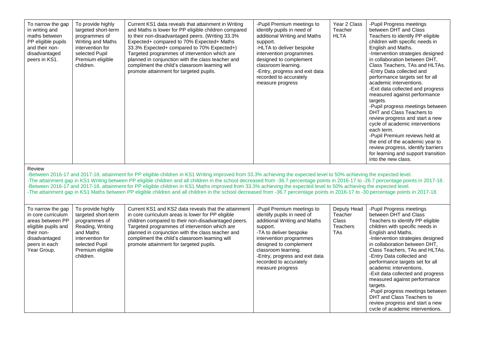| To narrow the gap<br>in writing and<br>maths between<br>PP eligible pupils<br>and their non-<br>disadvantaged<br>peers in KS1.                    | To provide highly<br>targeted short-term<br>programmes of<br>Writing and Maths<br>intervention for<br>selected Pupil<br>Premium eligible<br>children.             | Current KS1 data reveals that attainment in Writing<br>and Maths is lower for PP eligible children compared<br>to their non-disadvantaged peers. (Writing 33.3%<br>Expected+ compared to 70% Expected+ Maths<br>33.3% Expected+ compared to 70% Expected+)<br>Targeted programmes of intervention which are<br>planned in conjunction with the class teacher and<br>compliment the child's classroom learning will<br>promote attainment for targeted pupils.                                                                                                                                                                                                                                                                    | -Pupil Premium meetings to<br>identify pupils in need of<br>additional Writing and Maths<br>support.<br>-HLTA to deliver bespoke<br>intervention programmes<br>designed to complement<br>classroom learning.<br>-Entry, progress and exit data<br>recorded to accurately<br>measure progress | Year 2 Class<br>Teacher<br><b>HLTA</b>                    | -Pupil Progress meetings<br>between DHT and Class<br>Teachers to identify PP eligible<br>children with specific needs in<br>English and Maths.<br>-Intervention strategies designed<br>in collaboration between DHT,<br>Class Teachers, TAs and HLTAs.<br>-Entry Data collected and<br>performance targets set for all<br>academic interventions.<br>-Exit data collected and progress<br>measured against performance<br>targets.<br>-Pupil progress meetings between<br>DHT and Class Teachers to<br>review progress and start a new<br>cycle of academic interventions<br>each term.<br>-Pupil Premium reviews held at<br>the end of the academic year to<br>review progress, identify barriers<br>for learning and support transition<br>into the new class. |
|---------------------------------------------------------------------------------------------------------------------------------------------------|-------------------------------------------------------------------------------------------------------------------------------------------------------------------|----------------------------------------------------------------------------------------------------------------------------------------------------------------------------------------------------------------------------------------------------------------------------------------------------------------------------------------------------------------------------------------------------------------------------------------------------------------------------------------------------------------------------------------------------------------------------------------------------------------------------------------------------------------------------------------------------------------------------------|----------------------------------------------------------------------------------------------------------------------------------------------------------------------------------------------------------------------------------------------------------------------------------------------|-----------------------------------------------------------|------------------------------------------------------------------------------------------------------------------------------------------------------------------------------------------------------------------------------------------------------------------------------------------------------------------------------------------------------------------------------------------------------------------------------------------------------------------------------------------------------------------------------------------------------------------------------------------------------------------------------------------------------------------------------------------------------------------------------------------------------------------|
| Review                                                                                                                                            |                                                                                                                                                                   | -Between 2016-17 and 2017-18, attainment for PP eligible children in KS1 Writing improved from 33.3% achieving the expected level to 50% achieving the expected level.<br>-The attainment gap in KS1 Writing between PP eligible children and all children in the school decreased from -36.7 percentage points in 2016-17 to -26.7 percentage points in 2017-18.<br>-Between 2016-17 and 2017-18, attainment for PP eligible children in KS1 Maths improved from 33.3% achieving the expected level to 50% achieving the expected level.<br>-The attainment gap in KS1 Maths between PP eligible children and all children in the school decreased from -36.7 percentage points in 2016-17 to -30 percentage points in 2017-18. |                                                                                                                                                                                                                                                                                              |                                                           |                                                                                                                                                                                                                                                                                                                                                                                                                                                                                                                                                                                                                                                                                                                                                                  |
| To narrow the gap<br>in core curriculum<br>areas between PP<br>eligible pupils and<br>their non-<br>disadvantaged<br>peers in each<br>Year Group. | To provide highly<br>targeted short-term<br>programmes of<br>Reading, Writing<br>and Maths<br>intervention for<br>selected Pupil<br>Premium eligible<br>children. | Current KS1 and KS2 data reveals that the attainment<br>in core curriculum areas is lower for PP eligible<br>children compared to their non-disadvantaged peers.<br>Targeted programmes of intervention which are<br>planned in conjunction with the class teacher and<br>compliment the child's classroom learning will<br>promote attainment for targeted pupils.                                                                                                                                                                                                                                                                                                                                                              | -Pupil Premium meetings to<br>identify pupils in need of<br>additional Writing and Maths<br>support.<br>-TA to deliver bespoke<br>intervention programmes<br>designed to complement<br>classroom learning.<br>-Entry, progress and exit data<br>recorded to accurately<br>measure progress   | Deputy Head<br>Teacher<br>Class<br><b>Teachers</b><br>TAs | -Pupil Progress meetings<br>between DHT and Class<br>Teachers to identify PP eligible<br>children with specific needs in<br>English and Maths.<br>-Intervention strategies designed<br>in collaboration between DHT,<br>Class Teachers, TAs and HLTAs.<br>-Entry Data collected and<br>performance targets set for all<br>academic interventions.<br>-Exit data collected and progress<br>measured against performance<br>targets.<br>-Pupil progress meetings between<br>DHT and Class Teachers to<br>review progress and start a new<br>cycle of academic interventions.                                                                                                                                                                                       |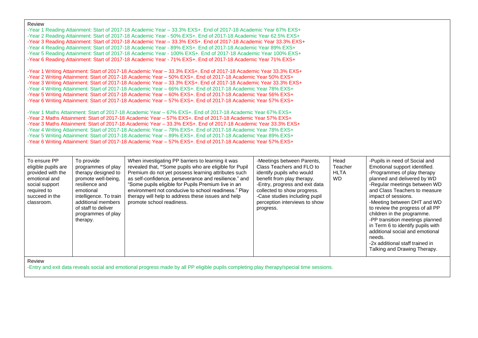| Review |
|--------|

| eligible pupils are<br>provided with the<br>emotional and<br>social support<br>required to<br>succeed in the<br>classroom.<br>Review | programmes of play<br>therapy designed to<br>promote well-being,<br>resilience and<br>emotional<br>intelligence. To train<br>additional members<br>of staff to deliver<br>programmes of play<br>therapy.                                                                                                                                                                                                                                                                                                                                                                                                                                                                                                                                                                                                                             | revealed that, "Some pupils who are eligible for Pupil<br>Premium do not yet possess learning attributes such<br>as self-confidence, perseverance and resilience." and<br>"Some pupils eligible for Pupils Premium live in an<br>environment not conducive to school readiness." Play<br>therapy will help to address these issues and help<br>promote school readiness.                                                                                                                                                                                                                                                                                                                               | Class Teachers and FLO to<br>identify pupils who would<br>benefit from play therapy.<br>-Entry, progress and exit data<br>collected to show progress.<br>-Case studies including pupil<br>perception interviews to show<br>progress. | Teacher<br><b>HLTA</b><br><b>WD</b> | Emotional support identified.<br>-Programmes of play therapy<br>planned and delivered by WD<br>-Regular meetings between WD<br>and Class Teachers to measure<br>impact of sessions.<br>-Meeting between DHT and WD<br>to review the progress of all PP<br>children in the programme.<br>-PP transition meetings planned<br>in Term 6 to identify pupils with<br>additional social and emotional<br>needs.<br>-2x additional staff trained in<br>Talking and Drawing Therapy. |
|--------------------------------------------------------------------------------------------------------------------------------------|--------------------------------------------------------------------------------------------------------------------------------------------------------------------------------------------------------------------------------------------------------------------------------------------------------------------------------------------------------------------------------------------------------------------------------------------------------------------------------------------------------------------------------------------------------------------------------------------------------------------------------------------------------------------------------------------------------------------------------------------------------------------------------------------------------------------------------------|--------------------------------------------------------------------------------------------------------------------------------------------------------------------------------------------------------------------------------------------------------------------------------------------------------------------------------------------------------------------------------------------------------------------------------------------------------------------------------------------------------------------------------------------------------------------------------------------------------------------------------------------------------------------------------------------------------|--------------------------------------------------------------------------------------------------------------------------------------------------------------------------------------------------------------------------------------|-------------------------------------|------------------------------------------------------------------------------------------------------------------------------------------------------------------------------------------------------------------------------------------------------------------------------------------------------------------------------------------------------------------------------------------------------------------------------------------------------------------------------|
| To ensure PP                                                                                                                         | -Year 1 Maths Attainment: Start of 2017-18 Academic Year – 67% EXS+. End of 2017-18 Academic Year 67% EXS+<br>-Year 2 Maths Attainment: Start of 2017-18 Academic Year - 57% EXS+. End of 2017-18 Academic Year 57% EXS+<br>-Year 3 Maths Attainment: Start of 2017-18 Academic Year - 33.3% EXS+. End of 2017-18 Academic Year 33.3% EXS+<br>-Year 4 Writing Attainment: Start of 2017-18 Academic Year - 78% EXS+. End of 2017-18 Academic Year 78% EXS+<br>-Year 5 Writing Attainment: Start of 2017-18 Academic Year - 89% EXS+. End of 2017-18 Academic Year 89% EXS+<br>-Year 6 Writing Attainment: Start of 2017-18 Academic Year - 57% EXS+. End of 2017-18 Academic Year 57% EXS+<br>To provide<br>When investigating PP barriers to learning it was<br>-Meetings between Parents,<br>Head<br>-Pupils in need of Social and |                                                                                                                                                                                                                                                                                                                                                                                                                                                                                                                                                                                                                                                                                                        |                                                                                                                                                                                                                                      |                                     |                                                                                                                                                                                                                                                                                                                                                                                                                                                                              |
|                                                                                                                                      |                                                                                                                                                                                                                                                                                                                                                                                                                                                                                                                                                                                                                                                                                                                                                                                                                                      | -Year 1 Writing Attainment: Start of 2017-18 Academic Year - 33.3% EXS+. End of 2017-18 Academic Year 33.3% EXS+<br>-Year 2 Writing Attainment: Start of 2017-18 Academic Year - 50% EXS+. End of 2017-18 Academic Year 50% EXS+<br>-Year 3 Writing Attainment: Start of 2017-18 Academic Year - 33.3% EXS+. End of 2017-18 Academic Year 33.3% EXS+<br>-Year 4 Writing Attainment: Start of 2017-18 Academic Year - 66% EXS+. End of 2017-18 Academic Year 78% EXS+<br>-Year 5 Writing Attainment: Start of 2017-18 Academic Year - 60% EXS+. End of 2017-18 Academic Year 56% EXS+<br>-Year 6 Writing Attainment: Start of 2017-18 Academic Year - 57% EXS+. End of 2017-18 Academic Year 57% EXS+   |                                                                                                                                                                                                                                      |                                     |                                                                                                                                                                                                                                                                                                                                                                                                                                                                              |
| Review                                                                                                                               |                                                                                                                                                                                                                                                                                                                                                                                                                                                                                                                                                                                                                                                                                                                                                                                                                                      | -Year 1 Reading Attainment: Start of 2017-18 Academic Year - 33.3% EXS+. End of 2017-18 Academic Year 67% EXS+<br>-Year 2 Reading Attainment: Start of 2017-18 Academic Year - 50% EXS+. End of 2017-18 Academic Year 62.5% EXS+<br>-Year 3 Reading Attainment: Start of 2017-18 Academic Year - 33.3% EXS+. End of 2017-18 Academic Year 33.3% EXS+<br>-Year 4 Reading Attainment: Start of 2017-18 Academic Year - 89% EXS+. End of 2017-18 Academic Year 89% EXS+<br>-Year 5 Reading Attainment: Start of 2017-18 Academic Year - 100% EXS+. End of 2017-18 Academic Year 100% EXS+<br>-Year 6 Reading Attainment: Start of 2017-18 Academic Year - 71% EXS+. End of 2017-18 Academic Year 71% EXS+ |                                                                                                                                                                                                                                      |                                     |                                                                                                                                                                                                                                                                                                                                                                                                                                                                              |

-Entry and exit data reveals social and emotional progress made by all PP eligible pupils completing play therapy/special time sessions.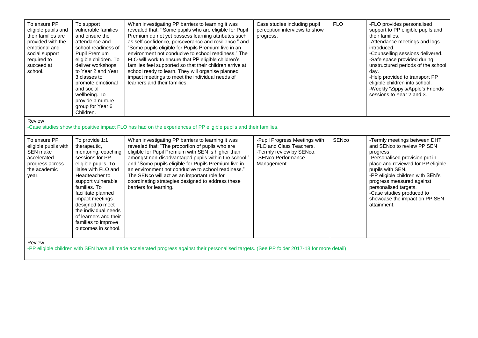| To ensure PP<br>eligible pupils and<br>their families are<br>provided with the<br>emotional and<br>social support<br>required to<br>succeed at<br>school. | To support<br>vulnerable families<br>and ensure the<br>attendance and<br>school readiness of<br>Pupil Premium<br>eligible children. To<br>deliver workshops<br>to Year 2 and Year<br>3 classes to<br>promote emotional<br>and social<br>wellbeing. To<br>provide a nurture<br>group for Year 6<br>Children.                                | When investigating PP barriers to learning it was<br>revealed that, "Some pupils who are eligible for Pupil<br>Premium do not yet possess learning attributes such<br>as self-confidence, perseverance and resilience." and<br>"Some pupils eligible for Pupils Premium live in an<br>environment not conducive to school readiness." The<br>FLO will work to ensure that PP eligible children's<br>families feel supported so that their children arrive at<br>school ready to learn. They will organise planned<br>impact meetings to meet the individual needs of<br>learners and their families. | Case studies including pupil<br>perception interviews to show<br>progress.                                               | <b>FLO</b>   | -FLO provides personalised<br>support to PP eligible pupils and<br>their families.<br>-Attendance meetings and logs<br>introduced.<br>-Counselling sessions delivered.<br>-Safe space provided during<br>unstructured periods of the school<br>day.<br>-Help provided to transport PP<br>eligible children into school.<br>-Weekly "Zippy's/Apple's Friends<br>sessions to Year 2 and 3. |
|-----------------------------------------------------------------------------------------------------------------------------------------------------------|--------------------------------------------------------------------------------------------------------------------------------------------------------------------------------------------------------------------------------------------------------------------------------------------------------------------------------------------|------------------------------------------------------------------------------------------------------------------------------------------------------------------------------------------------------------------------------------------------------------------------------------------------------------------------------------------------------------------------------------------------------------------------------------------------------------------------------------------------------------------------------------------------------------------------------------------------------|--------------------------------------------------------------------------------------------------------------------------|--------------|------------------------------------------------------------------------------------------------------------------------------------------------------------------------------------------------------------------------------------------------------------------------------------------------------------------------------------------------------------------------------------------|
| Review                                                                                                                                                    |                                                                                                                                                                                                                                                                                                                                            | -Case studies show the positive impact FLO has had on the experiences of PP eligible pupils and their families.                                                                                                                                                                                                                                                                                                                                                                                                                                                                                      |                                                                                                                          |              |                                                                                                                                                                                                                                                                                                                                                                                          |
| To ensure PP<br>eligible pupils with<br>SEN make<br>accelerated<br>progress across<br>the academic<br>year.                                               | To provide 1:1<br>therapeutic,<br>mentoring, coaching<br>sessions for PP<br>eligible pupils. To<br>liaise with FLO and<br>Headteacher to<br>support vulnerable<br>families. To<br>facilitate planned<br>impact meetings<br>designed to meet<br>the individual needs<br>of learners and their<br>families to improve<br>outcomes in school. | When investigating PP barriers to learning it was<br>revealed that: "The proportion of pupils who are<br>eligible for Pupil Premium with SEN is higher than<br>amongst non-disadvantaged pupils within the school."<br>and "Some pupils eligible for Pupils Premium live in<br>an environment not conducive to school readiness."<br>The SENco will act as an important role for<br>coordinating strategies designed to address these<br>barriers for learning.                                                                                                                                      | -Pupil Progress Meetings with<br>FLO and Class Teachers.<br>-Termly review by SENco.<br>-SENco Performance<br>Management | <b>SENco</b> | -Termly meetings between DHT<br>and SENco to review PP SEN<br>progress.<br>-Personalised provision put in<br>place and reviewed for PP eligible<br>pupils with SEN.<br>-PP eligible children with SEN's<br>progress measured against<br>personalised targets.<br>-Case studies produced to<br>showcase the impact on PP SEN<br>attainment.                                               |
| Review<br>-PP eligible children with SEN have all made accelerated progress against their personalised targets. (See PP folder 2017-18 for more detail)   |                                                                                                                                                                                                                                                                                                                                            |                                                                                                                                                                                                                                                                                                                                                                                                                                                                                                                                                                                                      |                                                                                                                          |              |                                                                                                                                                                                                                                                                                                                                                                                          |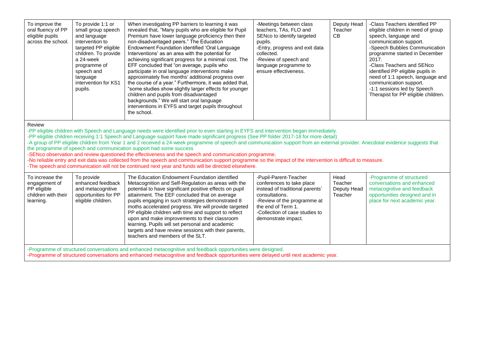| To improve the<br>oral fluency of PP<br>eligible pupils<br>across the school. | To provide 1:1 or<br>small group speech<br>and language<br>intervention to<br>targeted PP eligible<br>children. To provide<br>a 24-week<br>programme of<br>speech and<br>language<br>intervention for KS1<br>pupils. | When investigating PP barriers to learning it was<br>revealed that, "Many pupils who are eligible for Pupil<br>Premium have lower language proficiency then their<br>non-disadvantaged peers." The Education<br>Endowment Foundation identified 'Oral Language<br>Interventions' as an area with the potential for<br>achieving significant progress for a minimal cost. The<br>EFF concluded that "on average, pupils who<br>participate in oral language interventions make<br>approximately five months' additional progress over<br>the course of a year." Furthermore, it was added that,<br>"some studies show slightly larger effects for younger<br>children and pupils from disadvantaged<br>backgrounds." We will start oral language<br>interventions in EYFS and target pupils throughout<br>the school. | -Meetings between class<br>teachers, TAs, FLO and<br>SENco to identify targeted<br>pupils.<br>-Entry, progress and exit data<br>collected.<br>-Review of speech and<br>language programme to<br>ensure effectiveness. | Deputy Head<br>Teacher<br>CВ | -Class Teachers identified PP<br>eligible children in need of group<br>speech, language and<br>communication support.<br>-Speech Bubbles Communication<br>programme started in December<br>2017.<br>-Class Teachers and SENco<br>identified PP eligible pupils in<br>need of 1:1 speech, language and<br>communication support.<br>-1:1 sessions led by Speech<br>Therapist for PP eligible children. |
|-------------------------------------------------------------------------------|----------------------------------------------------------------------------------------------------------------------------------------------------------------------------------------------------------------------|----------------------------------------------------------------------------------------------------------------------------------------------------------------------------------------------------------------------------------------------------------------------------------------------------------------------------------------------------------------------------------------------------------------------------------------------------------------------------------------------------------------------------------------------------------------------------------------------------------------------------------------------------------------------------------------------------------------------------------------------------------------------------------------------------------------------|-----------------------------------------------------------------------------------------------------------------------------------------------------------------------------------------------------------------------|------------------------------|-------------------------------------------------------------------------------------------------------------------------------------------------------------------------------------------------------------------------------------------------------------------------------------------------------------------------------------------------------------------------------------------------------|
|-------------------------------------------------------------------------------|----------------------------------------------------------------------------------------------------------------------------------------------------------------------------------------------------------------------|----------------------------------------------------------------------------------------------------------------------------------------------------------------------------------------------------------------------------------------------------------------------------------------------------------------------------------------------------------------------------------------------------------------------------------------------------------------------------------------------------------------------------------------------------------------------------------------------------------------------------------------------------------------------------------------------------------------------------------------------------------------------------------------------------------------------|-----------------------------------------------------------------------------------------------------------------------------------------------------------------------------------------------------------------------|------------------------------|-------------------------------------------------------------------------------------------------------------------------------------------------------------------------------------------------------------------------------------------------------------------------------------------------------------------------------------------------------------------------------------------------------|

-PP eligible children with Speech and Language needs were identified prior to even starting in EYFS and intervention began immediately.

-PP eligible children receiving 1:1 Speech and Language support have made significant progress (See PP folder 2017-18 for more detail)

-A group of PP eligible children from Year 1 and 2 received a 24-week programme of speech and communication support from an external provider. Anecdotal evidence suggests that the programme of speech and communication support had some success

-SENco observation and review questioned the effectiveness and the speech and communication programme.

-No reliable entry and exit data was collected from the speech and communication support programme so the impact of the intervention is difficult to measure.

-The speech and communication will not be continued next year and funds will be directed elsewhere.

| To increase the<br>engagement of<br>PP eligible<br>children with their<br>learning.                         | To provide<br>enhanced feedback<br>and metacognitive<br>opportunities for PP<br>eligible children. | The Education Endowment Foundation identified<br>Metacognition and Self-Regulation as areas with the<br>potential to have significant positive effects on pupil<br>attainment. The EEF concluded that on average<br>pupils engaging in such strategies demonstrated 8<br>moths accelerated progress. We will provide targeted<br>PP eligible children with time and support to reflect<br>upon and make improvements to their classroom<br>learning. Pupils will set personal and academic<br>targets and have review sessions with their parents,<br>teachers and members of the SLT. | -Pupil-Parent-Teacher<br>conferences to take place<br>instead of traditional parents'<br>consultations.<br>-Review of the programme at<br>the end of Term 1.<br>-Collection of case studies to<br>demonstrate impact. | Head<br>Teacher<br>Deputy Head<br>Teacher | -Programme of structured<br>conversations and enhanced<br>metacognitive and feedback<br>opportunities designed and in<br>place for next academic year. |  |
|-------------------------------------------------------------------------------------------------------------|----------------------------------------------------------------------------------------------------|----------------------------------------------------------------------------------------------------------------------------------------------------------------------------------------------------------------------------------------------------------------------------------------------------------------------------------------------------------------------------------------------------------------------------------------------------------------------------------------------------------------------------------------------------------------------------------------|-----------------------------------------------------------------------------------------------------------------------------------------------------------------------------------------------------------------------|-------------------------------------------|--------------------------------------------------------------------------------------------------------------------------------------------------------|--|
| -Programme of structured conversations and enhanced metacognitive and feedback opportunities were designed. |                                                                                                    |                                                                                                                                                                                                                                                                                                                                                                                                                                                                                                                                                                                        |                                                                                                                                                                                                                       |                                           |                                                                                                                                                        |  |

-Programme of structured conversations and enhanced metacognitive and feedback opportunities were delayed until next academic year.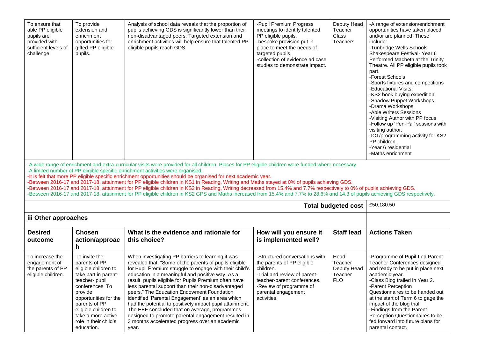| To ensure that<br>able PP eligible<br>pupils are<br>provided with<br>sufficient levels of<br>challenge.                                                                                                                                                                                                                                                                                                                                                                                                                                                                                                                                                                                                                                                                                                                                                             | To provide<br>extension and<br>enrichment<br>opportunities for<br>gifted PP eligible<br>pupils.                                                                                                                                                               | Analysis of school data reveals that the proportion of<br>pupils achieving GDS is significantly lower than their<br>non-disadvantaged peers. Targeted extension and<br>enrichment activities will help ensure that talented PP<br>eligible pupils reach GDS.                                                                                                                                                                                                                                                                                                                                                                                                                | -Pupil Premium Progress<br>meetings to identify talented<br>PP eligible pupils.<br>-bespoke provision put in<br>place to meet the needs of<br>targeted pupils.<br>-collection of evidence ad case<br>studies to demonstrate impact. | Deputy Head<br>Teacher<br><b>Class</b><br>Teachers      | -A range of extension/enrichment<br>opportunities have taken placed<br>and/or are planned. These<br>include:<br>-Tunbridge Wells Schools<br>Shakespeare Festival-Year 6<br>Performed Macbeth at the Trinity<br>Theatre. All PP eligible pupils took<br>part.<br>-Forest Schools<br>-Sports fixtures and competitions<br>-Educational Visits<br>-KS2 book buying expedition<br>-Shadow Puppet Workshops<br>-Drama Workshops<br>-Able Writers Sessions<br>-Visiting Author with PP focus<br>-Follow up 'Pen-Pal' sessions with<br>visiting author.<br>-ICT/programming activity for KS2<br>PP children.<br>-Year 6 residential<br>-Maths enrichment |  |
|---------------------------------------------------------------------------------------------------------------------------------------------------------------------------------------------------------------------------------------------------------------------------------------------------------------------------------------------------------------------------------------------------------------------------------------------------------------------------------------------------------------------------------------------------------------------------------------------------------------------------------------------------------------------------------------------------------------------------------------------------------------------------------------------------------------------------------------------------------------------|---------------------------------------------------------------------------------------------------------------------------------------------------------------------------------------------------------------------------------------------------------------|-----------------------------------------------------------------------------------------------------------------------------------------------------------------------------------------------------------------------------------------------------------------------------------------------------------------------------------------------------------------------------------------------------------------------------------------------------------------------------------------------------------------------------------------------------------------------------------------------------------------------------------------------------------------------------|-------------------------------------------------------------------------------------------------------------------------------------------------------------------------------------------------------------------------------------|---------------------------------------------------------|---------------------------------------------------------------------------------------------------------------------------------------------------------------------------------------------------------------------------------------------------------------------------------------------------------------------------------------------------------------------------------------------------------------------------------------------------------------------------------------------------------------------------------------------------------------------------------------------------------------------------------------------------|--|
| -A wide range of enrichment and extra-curricular visits were provided for all children. Places for PP eligible children were funded where necessary.<br>-A limited number of PP eligible specific enrichment activities were organised.<br>-It is felt that more PP eligible specific enrichment opportunities should be organised for next academic year.<br>Between 2016-17 and 2017-18, attainment for PP eligible children in KS1 in Reading, Writing and Maths stayed at 0% of pupils achieving GDS.<br>-Between 2016-17 and 2017-18, attainment for PP eligible children in KS2 in Reading, Writing decreased from 15.4% and 7.7% respectively to 0% of pupils achieving GDS.<br>-Between 2016-17 and 2017-18, attainment for PP eligible children in KS2 GPS and Maths increased from 15.4% and 7.7% to 28.6% and 14.3 of pupils achieving GDS respectively. |                                                                                                                                                                                                                                                               |                                                                                                                                                                                                                                                                                                                                                                                                                                                                                                                                                                                                                                                                             |                                                                                                                                                                                                                                     |                                                         |                                                                                                                                                                                                                                                                                                                                                                                                                                                                                                                                                                                                                                                   |  |
| <b>Total budgeted cost</b>                                                                                                                                                                                                                                                                                                                                                                                                                                                                                                                                                                                                                                                                                                                                                                                                                                          |                                                                                                                                                                                                                                                               |                                                                                                                                                                                                                                                                                                                                                                                                                                                                                                                                                                                                                                                                             |                                                                                                                                                                                                                                     |                                                         | £50,180.50                                                                                                                                                                                                                                                                                                                                                                                                                                                                                                                                                                                                                                        |  |
| iii Other approaches                                                                                                                                                                                                                                                                                                                                                                                                                                                                                                                                                                                                                                                                                                                                                                                                                                                |                                                                                                                                                                                                                                                               |                                                                                                                                                                                                                                                                                                                                                                                                                                                                                                                                                                                                                                                                             |                                                                                                                                                                                                                                     |                                                         |                                                                                                                                                                                                                                                                                                                                                                                                                                                                                                                                                                                                                                                   |  |
| <b>Desired</b><br>outcome                                                                                                                                                                                                                                                                                                                                                                                                                                                                                                                                                                                                                                                                                                                                                                                                                                           | <b>Chosen</b><br>action/approac<br>h.                                                                                                                                                                                                                         | What is the evidence and rationale for<br>this choice?                                                                                                                                                                                                                                                                                                                                                                                                                                                                                                                                                                                                                      | How will you ensure it<br>is implemented well?                                                                                                                                                                                      | <b>Staff lead</b>                                       | <b>Actions Taken</b>                                                                                                                                                                                                                                                                                                                                                                                                                                                                                                                                                                                                                              |  |
| To increase the<br>engagement of<br>the parents of PP<br>eligible children.                                                                                                                                                                                                                                                                                                                                                                                                                                                                                                                                                                                                                                                                                                                                                                                         | To invite the<br>parents of PP<br>eligible children to<br>take part in parent-<br>teacher- pupil<br>conferences. To<br>provide<br>opportunities for the<br>parents of PP<br>eligible children to<br>take a more active<br>role in their child's<br>education. | When investigating PP barriers to learning it was<br>revealed that, "Some of the parents of pupils eligible<br>for Pupil Premium struggle to engage with their child's<br>education in a meaningful and positive way. As a<br>result, pupils eligible for Pupils Premium often have<br>less parental support than their non-disadvantaged<br>peers." The Education Endowment Foundation<br>identified 'Parental Engagement' as an area which<br>had the potential to positively impact pupil attainment.<br>The EEF concluded that on average, programmes<br>designed to promote parental engagement resulted in<br>3 months accelerated progress over an academic<br>year. | -Structured conversations with<br>the parents of PP eligible<br>children.<br>-Trial and review of parent-<br>teacher-parent conferences.<br>-Review of programme of<br>parental engagement<br>activities.                           | Head<br>Teacher<br>Deputy Head<br>Teacher<br><b>FLO</b> | -Programme of Pupil-Led Parent<br>Teacher Conferences designed<br>and ready to be put in place next<br>academic year.<br>-Class Blog trailed in Year 2.<br>-Parent Perception<br>Questionnaires to be handed out<br>at the start of Term 6 to gage the<br>impact of the blog trial.<br>-Findings from the Parent<br>Perception Questionnaires to be<br>fed forward into future plans for<br>parental contact.                                                                                                                                                                                                                                     |  |